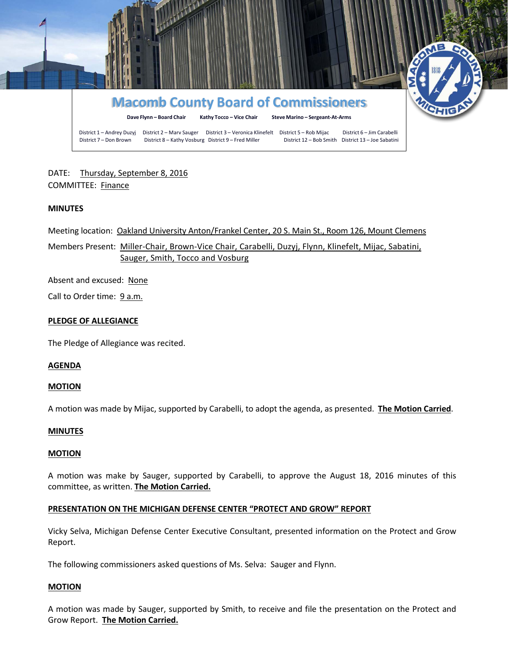

# DATE: Thursday, September 8, 2016 COMMITTEE: Finance

# **MINUTES**

Meeting location: Oakland University Anton/Frankel Center, 20 S. Main St., Room 126, Mount Clemens

Members Present: Miller-Chair, Brown-Vice Chair, Carabelli, Duzyj, Flynn, Klinefelt, Mijac, Sabatini, Sauger, Smith, Tocco and Vosburg

Absent and excused: None

Call to Order time: 9 a.m.

# **PLEDGE OF ALLEGIANCE**

The Pledge of Allegiance was recited.

#### **AGENDA**

#### **MOTION**

A motion was made by Mijac, supported by Carabelli, to adopt the agenda, as presented. **The Motion Carried**.

#### **MINUTES**

#### **MOTION**

A motion was make by Sauger, supported by Carabelli, to approve the August 18, 2016 minutes of this committee, as written. **The Motion Carried.**

# **PRESENTATION ON THE MICHIGAN DEFENSE CENTER "PROTECT AND GROW" REPORT**

Vicky Selva, Michigan Defense Center Executive Consultant, presented information on the Protect and Grow Report.

The following commissioners asked questions of Ms. Selva: Sauger and Flynn.

#### **MOTION**

A motion was made by Sauger, supported by Smith, to receive and file the presentation on the Protect and Grow Report. **The Motion Carried.**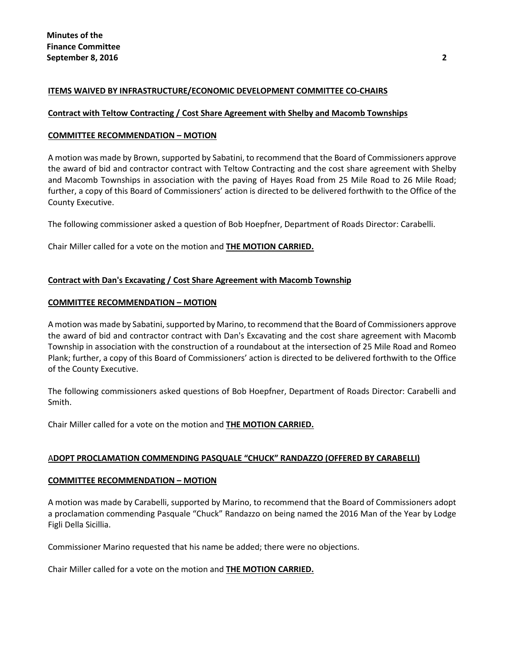# **ITEMS WAIVED BY INFRASTRUCTURE/ECONOMIC DEVELOPMENT COMMITTEE CO-CHAIRS**

### **Contract with Teltow Contracting / Cost Share Agreement with Shelby and Macomb Townships**

### **COMMITTEE RECOMMENDATION – MOTION**

A motion was made by Brown, supported by Sabatini, to recommend that the Board of Commissioners approve the award of bid and contractor contract with Teltow Contracting and the cost share agreement with Shelby and Macomb Townships in association with the paving of Hayes Road from 25 Mile Road to 26 Mile Road; further, a copy of this Board of Commissioners' action is directed to be delivered forthwith to the Office of the County Executive.

The following commissioner asked a question of Bob Hoepfner, Department of Roads Director: Carabelli.

Chair Miller called for a vote on the motion and **THE MOTION CARRIED.**

# **Contract with Dan's Excavating / Cost Share Agreement with Macomb Township**

#### **COMMITTEE RECOMMENDATION – MOTION**

A motion was made by Sabatini, supported by Marino, to recommend that the Board of Commissioners approve the award of bid and contractor contract with Dan's Excavating and the cost share agreement with Macomb Township in association with the construction of a roundabout at the intersection of 25 Mile Road and Romeo Plank; further, a copy of this Board of Commissioners' action is directed to be delivered forthwith to the Office of the County Executive.

The following commissioners asked questions of Bob Hoepfner, Department of Roads Director: Carabelli and Smith.

Chair Miller called for a vote on the motion and **THE MOTION CARRIED.**

#### A**DOPT PROCLAMATION COMMENDING PASQUALE "CHUCK" RANDAZZO (OFFERED BY CARABELLI)**

#### **COMMITTEE RECOMMENDATION – MOTION**

A motion was made by Carabelli, supported by Marino, to recommend that the Board of Commissioners adopt a proclamation commending Pasquale "Chuck" Randazzo on being named the 2016 Man of the Year by Lodge Figli Della Sicillia.

Commissioner Marino requested that his name be added; there were no objections.

Chair Miller called for a vote on the motion and **THE MOTION CARRIED.**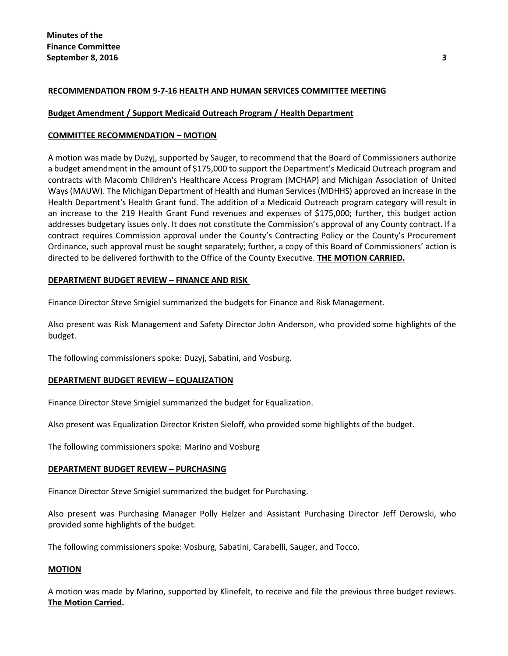# **RECOMMENDATION FROM 9-7-16 HEALTH AND HUMAN SERVICES COMMITTEE MEETING**

# **Budget Amendment / Support Medicaid Outreach Program / Health Department**

# **COMMITTEE RECOMMENDATION – MOTION**

A motion was made by Duzyj, supported by Sauger, to recommend that the Board of Commissioners authorize a budget amendment in the amount of \$175,000 to support the Department's Medicaid Outreach program and contracts with Macomb Children's Healthcare Access Program (MCHAP) and Michigan Association of United Ways (MAUW). The Michigan Department of Health and Human Services (MDHHS) approved an increase in the Health Department's Health Grant fund. The addition of a Medicaid Outreach program category will result in an increase to the 219 Health Grant Fund revenues and expenses of \$175,000; further, this budget action addresses budgetary issues only. It does not constitute the Commission's approval of any County contract. If a contract requires Commission approval under the County's Contracting Policy or the County's Procurement Ordinance, such approval must be sought separately; further, a copy of this Board of Commissioners' action is directed to be delivered forthwith to the Office of the County Executive. **THE MOTION CARRIED.**

# **DEPARTMENT BUDGET REVIEW – FINANCE AND RISK**

Finance Director Steve Smigiel summarized the budgets for Finance and Risk Management.

Also present was Risk Management and Safety Director John Anderson, who provided some highlights of the budget.

The following commissioners spoke: Duzyj, Sabatini, and Vosburg.

# **DEPARTMENT BUDGET REVIEW – EQUALIZATION**

Finance Director Steve Smigiel summarized the budget for Equalization.

Also present was Equalization Director Kristen Sieloff, who provided some highlights of the budget.

The following commissioners spoke: Marino and Vosburg

# **DEPARTMENT BUDGET REVIEW – PURCHASING**

Finance Director Steve Smigiel summarized the budget for Purchasing.

Also present was Purchasing Manager Polly Helzer and Assistant Purchasing Director Jeff Derowski, who provided some highlights of the budget.

The following commissioners spoke: Vosburg, Sabatini, Carabelli, Sauger, and Tocco.

#### **MOTION**

A motion was made by Marino, supported by Klinefelt, to receive and file the previous three budget reviews. **The Motion Carried.**